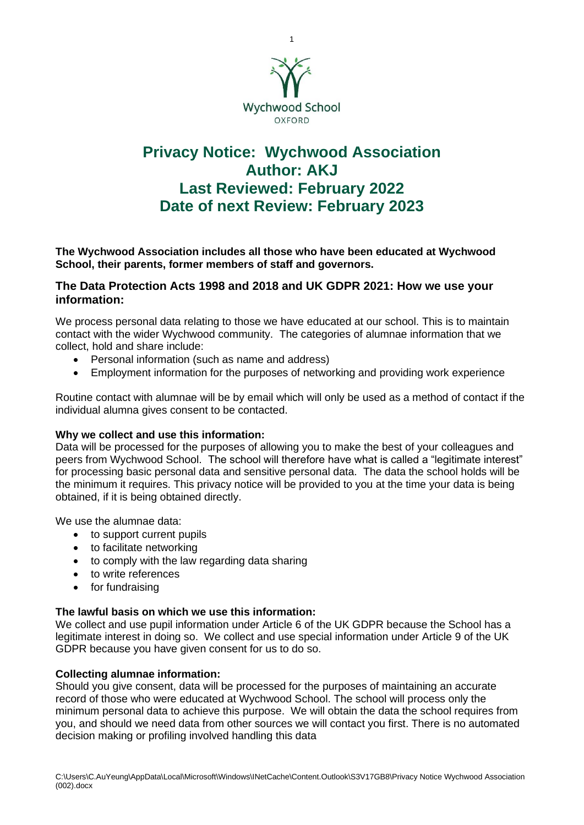

# **Privacy Notice: Wychwood Association Author: AKJ Last Reviewed: February 2022 Date of next Review: February 2023**

**The Wychwood Association includes all those who have been educated at Wychwood School, their parents, former members of staff and governors.**

# **The Data Protection Acts 1998 and 2018 and UK GDPR 2021: How we use your information:**

We process personal data relating to those we have educated at our school. This is to maintain contact with the wider Wychwood community. The categories of alumnae information that we collect, hold and share include:

- Personal information (such as name and address)
- Employment information for the purposes of networking and providing work experience

Routine contact with alumnae will be by email which will only be used as a method of contact if the individual alumna gives consent to be contacted.

#### **Why we collect and use this information:**

Data will be processed for the purposes of allowing you to make the best of your colleagues and peers from Wychwood School. The school will therefore have what is called a "legitimate interest" for processing basic personal data and sensitive personal data. The data the school holds will be the minimum it requires. This privacy notice will be provided to you at the time your data is being obtained, if it is being obtained directly.

We use the alumnae data:

- to support current pupils
- to facilitate networking
- to comply with the law regarding data sharing
- to write references
- for fundraising

#### **The lawful basis on which we use this information:**

We collect and use pupil information under Article 6 of the UK GDPR because the School has a legitimate interest in doing so. We collect and use special information under Article 9 of the UK GDPR because you have given consent for us to do so.

#### **Collecting alumnae information:**

Should you give consent, data will be processed for the purposes of maintaining an accurate record of those who were educated at Wychwood School. The school will process only the minimum personal data to achieve this purpose. We will obtain the data the school requires from you, and should we need data from other sources we will contact you first. There is no automated decision making or profiling involved handling this data